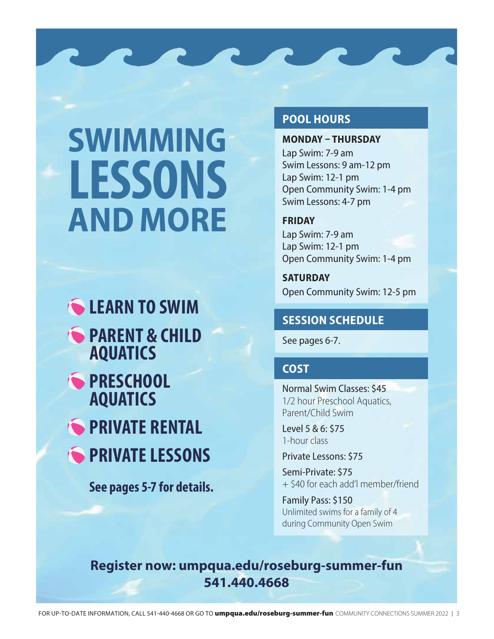# **SWIMMING AND MORE LESSONS**

**COLEARN TO SWIM PARENT & CHILD AQUATICS S** PRESCHOOL **AQUATICS PRIVATE RENTAL** 

**PRIVATE LESSONS** 

**See pages 5-7 for details.**

### **POOL HOURS**

**MONDAY – THURSDAY** Lap Swim: 7-9 am Swim Lessons: 9 am-12 pm Lap Swim: 12-1 pm Open Community Swim: 1-4 pm Swim Lessons: 4-7 pm

**FRIDAY** Lap Swim: 7-9 am

Lap Swim: 12-1 pm Open Community Swim: 1-4 pm

**SATURDAY** Open Community Swim: 12-5 pm

## **SESSION SCHEDULE**

See pages 6-7.

## **COST**

Normal Swim Classes: \$45 1/2 hour Preschool Aquatics, Parent/Child Swim

Level 5 & 6: \$75 1-hour class

Private Lessons: \$75

Semi-Private: \$75 + \$40 for each add'l member/friend

Family Pass: \$150 Unlimited swims for a family of 4 during Community Open Swim

## **Register now: umpqua.edu/roseburg-summer-fun 541.440.4668**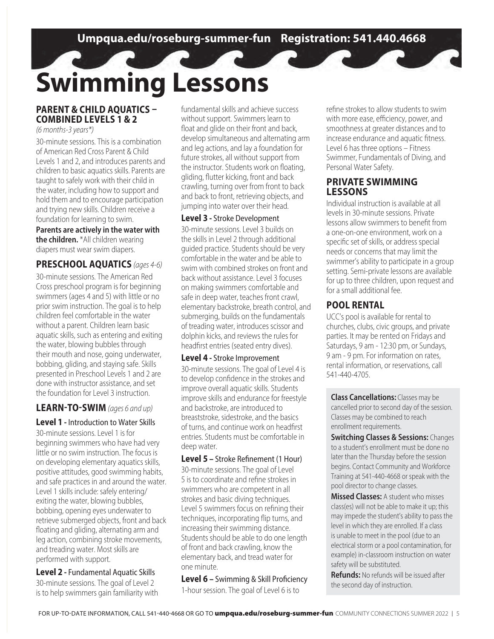## **Swimming Lessons**

#### **PARENT & CHILD AQUATICS – COMBINED LEVELS 1 & 2**

(6 months-3 years\*)

30-minute sessions. This is a combination of American Red Cross Parent & Child Levels 1 and 2, and introduces parents and children to basic aquatics skills. Parents are taught to safely work with their child in the water, including how to support and hold them and to encourage participation and trying new skills. Children receive a foundation for learning to swim.

**Parents are actively in the water with the children.** \*All children wearing diapers must wear swim diapers.

#### **PRESCHOOL AQUATICS** (ages 4-6)

30-minute sessions. The American Red Cross preschool program is for beginning swimmers (ages 4 and 5) with little or no prior swim instruction. The goal is to help children feel comfortable in the water without a parent. Children learn basic aquatic skills, such as entering and exiting the water, blowing bubbles through their mouth and nose, going underwater, bobbing, gliding, and staying safe. Skills presented in Preschool Levels 1 and 2 are done with instructor assistance, and set the foundation for Level 3 instruction.

#### **LEARN-TO-SWIM** (ages 6 and up)

#### **Level 1 -** Introduction to Water Skills

30-minute sessions. Level 1 is for beginning swimmers who have had very little or no swim instruction. The focus is on developing elementary aquatics skills, positive attitudes, good swimming habits, and safe practices in and around the water. Level 1 skills include: safely entering/ exiting the water, blowing bubbles, bobbing, opening eyes underwater to retrieve submerged objects, front and back floating and gliding, alternating arm and leg action, combining stroke movements, and treading water. Most skills are performed with support.

**Level 2 -** Fundamental Aquatic Skills 30-minute sessions. The goal of Level 2 is to help swimmers gain familiarity with fundamental skills and achieve success without support. Swimmers learn to float and glide on their front and back, develop simultaneous and alternating arm and leg actions, and lay a foundation for future strokes, all without support from the instructor. Students work on floating, gliding, flutter kicking, front and back crawling, turning over from front to back and back to front, retrieving objects, and jumping into water over their head.

#### **Level 3 -** Stroke Development

30-minute sessions. Level 3 builds on the skills in Level 2 through additional guided practice. Students should be very comfortable in the water and be able to swim with combined strokes on front and back without assistance. Level 3 focuses on making swimmers comfortable and safe in deep water, teaches front crawl, elementary backstroke, breath control, and submerging, builds on the fundamentals of treading water, introduces scissor and dolphin kicks, and reviews the rules for headfirst entries (seated entry dives).

#### **Level 4 -** Stroke Improvement

30-minute sessions. The goal of Level 4 is to develop confidence in the strokes and improve overall aquatic skills. Students improve skills and endurance for freestyle and backstroke, are introduced to breaststroke, sidestroke, and the basics of turns, and continue work on headfirst entries. Students must be comfortable in deep water.

#### **Level 5 –** Stroke Refinement (1 Hour)

30-minute sessions. The goal of Level 5 is to coordinate and refine strokes in swimmers who are competent in all strokes and basic diving techniques. Level 5 swimmers focus on refining their techniques, incorporating flip turns, and increasing their swimming distance. Students should be able to do one length of front and back crawling, know the elementary back, and tread water for one minute.

**Level 6 –** Swimming & Skill Proficiency 1-hour session. The goal of Level 6 is to

refine strokes to allow students to swim with more ease, efficiency, power, and smoothness at greater distances and to increase endurance and aquatic fitness. Level 6 has three options – Fitness Swimmer, Fundamentals of Diving, and Personal Water Safety.

#### **PRIVATE SWIMMING LESSONS**

Individual instruction is available at all levels in 30-minute sessions. Private lessons allow swimmers to benefit from a one-on-one environment, work on a specific set of skills, or address special needs or concerns that may limit the swimmer's ability to participate in a group setting. Semi-private lessons are available for up to three children, upon request and for a small additional fee.

#### **POOL RENTAL**

UCC's pool is available for rental to churches, clubs, civic groups, and private parties. It may be rented on Fridays and Saturdays, 9 am - 12:30 pm, or Sundays, 9 am - 9 pm. For information on rates, rental information, or reservations, call 541-440-4705.

**Class Cancellations:** Classes may be cancelled prior to second day of the session. Classes may be combined to reach enrollment requirements.

**Switching Classes & Sessions:** Changes to a student's enrollment must be done no later than the Thursday before the session begins. Contact Community and Workforce Training at 541-440-4668 or speak with the pool director to change classes.

**Missed Classes:** A student who misses class(es) will not be able to make it up; this may impede the student's ability to pass the level in which they are enrolled. If a class is unable to meet in the pool (due to an electrical storm or a pool contamination, for example) in-classroom instruction on water safety will be substituted.

**Refunds:** No refunds will be issued after the second day of instruction.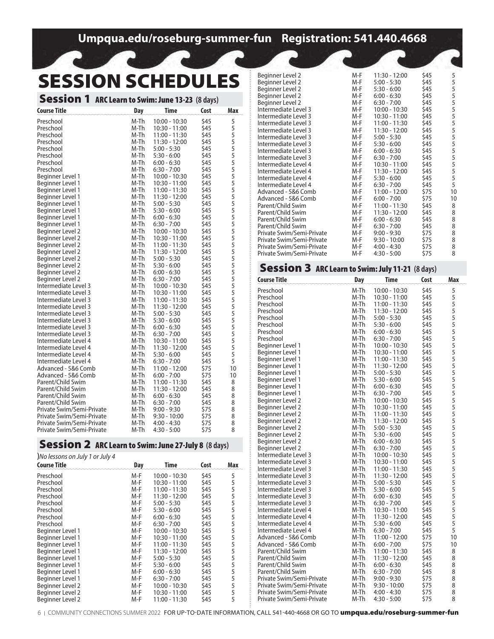## **Umpqua.edu/roseburg-summer-fun Registration: 541.440.4668**

## **SESSION SCHEDULES**

| <b>Session 1 ARC Learn to Swim: June 13-23 (8 days)</b> |              |                                |              |                                 |
|---------------------------------------------------------|--------------|--------------------------------|--------------|---------------------------------|
| <b>Course Title</b>                                     | <b>Day</b>   | <b>Time</b>                    | Cost         | Max                             |
| Preschool                                               | M-Th         | $10:00 - 10:30$                | \$45         |                                 |
| Preschool                                               | M-Th         | $10:30 - 11:00$                | \$45         |                                 |
| Preschool                                               | M-Th         | 11:00 - 11:30                  | \$45         |                                 |
| Preschool                                               | M-Th         | 11:30 - 12:00                  | \$45         |                                 |
| Preschool                                               | M-Th         | $5:00 - 5:30$                  | \$45         |                                 |
| Preschool                                               | M-Th         | $5:30 - 6:00$                  | \$45         |                                 |
| Preschool                                               | M-Th         | $6:00 - 6:30$                  | \$45         |                                 |
| Preschool                                               | M-Th         | $6:30 - 7:00$                  | \$45         |                                 |
| Beginner Level 1                                        | M-Th         | $10:00 - 10:30$                | \$45         |                                 |
| Beginner Level 1                                        | M-Th         | 10:30 - 11:00                  | \$45         |                                 |
| Beginner Level 1                                        | M-Th         | 11:00 - 11:30                  | \$45         |                                 |
| Beginner Level 1                                        | M-Th         | 11:30 - 12:00                  | \$45         |                                 |
| Beginner Level 1                                        | M-Th         | $5:00 - 5:30$                  | \$45         |                                 |
| Beginner Level 1                                        | M-Th         | $5:30 - 6:00$                  | \$45         |                                 |
| Beginner Level 1                                        | M-Th         | $6:00 - 6:30$                  | \$45         |                                 |
| Beginner Level 1                                        | M-Th         | $6:30 - 7:00$                  | \$45         |                                 |
| Beginner Level 2                                        | M-Th         | $10:00 - 10:30$                | \$45         | 5555555555555555555555555555555 |
| Beginner Level 2                                        | M-Th         | 10:30 - 11:00                  | \$45         |                                 |
| Beginner Level 2                                        | M-Th         | 11:00 - 11:30                  | \$45         |                                 |
| Beginner Level 2                                        | M-Th         | 11:30 - 12:00                  | \$45         |                                 |
| Beginner Level 2                                        | M-Th         | $5:00 - 5:30$                  | \$45         |                                 |
| Beginner Level 2                                        | M-Th         | $5:30 - 6:00$                  | \$45         |                                 |
| Beginner Level 2                                        | M-Th         | $6:00 - 6:30$                  | \$45         |                                 |
| Beginner Level 2                                        | M-Th         | $6:30 - 7:00$                  | \$45         |                                 |
| Intermediate Level 3                                    | M-Th         | $10:00 - 10:30$                | \$45         |                                 |
| Intermediate Level 3                                    | M-Th         | 10:30 - 11:00                  | \$45         |                                 |
| Intermediate Level 3                                    | M-Th         | 11:00 - 11:30                  | \$45         |                                 |
| Intermediate Level 3                                    | M-Th         | 11:30 - 12:00                  | \$45         |                                 |
| Intermediate Level 3                                    | M-Th         | $5:00 - 5:30$                  | \$45         |                                 |
| Intermediate Level 3                                    | M-Th         | $5:30 - 6:00$                  | \$45         |                                 |
| Intermediate Level 3                                    | M-Th         | $6:00 - 6:30$                  | \$45         |                                 |
| Intermediate Level 3                                    | M-Th         | $6:30 - 7:00$                  | \$45         |                                 |
| Intermediate Level 4                                    | M-Th         | $10:30 - 11:00$                | \$45         |                                 |
| Intermediate Level 4                                    | M-Th         | 11:30 - 12:00                  | \$45         |                                 |
| Intermediate Level 4                                    | M-Th         | $5:30 - 6:00$                  | \$45         |                                 |
| Intermediate Level 4                                    | M-Th         | $6:30 - 7:00$                  | \$45         | 10                              |
| Advanced - 5&6 Comb                                     | M-Th         | $11:00 - 12:00$                | \$75         | 10                              |
| Advanced - 5&6 Comb<br>Parent/Child Swim                | M-Th<br>M-Th | $6:00 - 7:00$                  | \$75<br>\$45 | 8                               |
| Parent/Child Swim                                       | M-Th         | $11:00 - 11:30$                |              | 8                               |
| Parent/Child Swim                                       | M-Th         | 11:30 - 12:00<br>$6:00 - 6:30$ | \$45<br>\$45 | 8                               |
| Parent/Child Swim                                       | M-Th         | $6:30 - 7:00$                  | \$45         | 8                               |
| Private Swim/Semi-Private                               | M-Th         | $9:00 - 9:30$                  | \$75         | 8                               |
| Private Swim/Semi-Private                               | M-Th         | $9:30 - 10:00$                 | \$75         | 8                               |
| Private Swim/Semi-Private                               | M-Th         | $4:00 - 4:30$                  | \$75         | 8                               |
| Private Swim/Semi-Private                               | M-Th         | $4:30 - 5:00$                  | \$75         | 8                               |

#### Session 2 ARC Learn to Swim: June 27-July 8 **(8 days)**

| <b>Dession <math>\angle</math> ARC Learn to Swim: June 27-July 8</b> (8 days)<br>)No lessons on July 1 or July 4 |     |                 |      |   |  |
|------------------------------------------------------------------------------------------------------------------|-----|-----------------|------|---|--|
|                                                                                                                  |     |                 |      |   |  |
| Preschool                                                                                                        | M-F | $10:00 - 10:30$ | \$45 | 5 |  |
| Preschool                                                                                                        | M-F | 10:30 - 11:00   | \$45 | 5 |  |
| Preschool                                                                                                        | M-F | $11:00 - 11:30$ | \$45 | 5 |  |
| Preschool                                                                                                        | M-F | 11:30 - 12:00   | \$45 | 5 |  |
| Preschool                                                                                                        | M-F | $5:00 - 5:30$   | \$45 | 5 |  |
| Preschool                                                                                                        | M-F | $5:30 - 6:00$   | \$45 | 5 |  |
| Preschool                                                                                                        | M-F | $6:00 - 6:30$   | \$45 | 5 |  |
| Preschool                                                                                                        | M-F | $6:30 - 7:00$   | \$45 | 5 |  |
| Beginner Level 1                                                                                                 | M-F | $10:00 - 10:30$ | \$45 | 5 |  |
| Beginner Level 1                                                                                                 | M-F | 10:30 - 11:00   | \$45 | 5 |  |
| Beginner Level 1                                                                                                 | M-F | $11:00 - 11:30$ | \$45 | 5 |  |
| Beginner Level 1                                                                                                 | M-F | 11:30 - 12:00   | \$45 | 5 |  |
| Beginner Level 1                                                                                                 | M-F | $5:00 - 5:30$   | \$45 | 5 |  |
| Beginner Level 1                                                                                                 | M-F | $5:30 - 6:00$   | \$45 | 5 |  |
| Beginner Level 1                                                                                                 | M-F | $6:00 - 6:30$   | \$45 | 5 |  |
| Beginner Level 1                                                                                                 | M-F | $6:30 - 7:00$   | \$45 | 5 |  |
| Beginner Level 2                                                                                                 | M-F | 10:00 - 10:30   | \$45 | 5 |  |
| Beginner Level 2                                                                                                 | M-F | 10:30 - 11:00   | \$45 | 5 |  |

Beginner Level 2 M-F 10:00 - 10:30 \$45 5 Beginner Level 2 M-F 10:30 - 11:00 \$45 5

Beginner Level 2

| Beginner Level 2                                        | M-F          | 11:30 - 12:00                      | \$45         |                  |
|---------------------------------------------------------|--------------|------------------------------------|--------------|------------------|
| Beginner Level 2                                        | M-F          | $5:00 - 5:30$                      | \$45         |                  |
| Beginner Level 2                                        | M-F          | $5:30 - 6:00$                      | \$45         |                  |
| Beginner Level 2                                        | M-F          | $6:00 - 6:30$                      | \$45         |                  |
| Beginner Level 2                                        | M-F          | $6:30 - 7:00$                      | \$45         |                  |
| Intermediate Level 3                                    | M-F          | $10:00 - 10:30$                    | \$45         |                  |
| Intermediate Level 3                                    | M-F<br>M-F   | 10:30 - 11:00                      | \$45         |                  |
| Intermediate Level 3<br>Intermediate Level 3            | M-F          | 11:00 - 11:30<br>11:30 - 12:00     | \$45<br>\$45 |                  |
| Intermediate Level 3                                    | M-F          | $5:00 - 5:30$                      | \$45         |                  |
| Intermediate Level 3                                    | M-F          | $5:30 - 6:00$                      | \$45         |                  |
| Intermediate Level 3                                    | M-F          | $6:00 - 6:30$                      | \$45         |                  |
| Intermediate Level 3                                    | M-F          | $6:30 - 7:00$                      | \$45         |                  |
| Intermediate Level 4                                    | M-F          | $10:30 - 11:00$                    | \$45         |                  |
| Intermediate Level 4                                    | M-F          | 11:30 - 12:00                      | \$45         |                  |
| Intermediate Level 4<br>Intermediate Level 4            | M-F<br>M-F   | $5:30 - 6:00$<br>$6:30 - 7:00$     | \$45<br>\$45 | $\overline{5}$   |
| Advanced - 5&6 Comb                                     | M-F          | 11:00 - 12:00                      | \$75         | 10               |
| Advanced - 5&6 Comb                                     | M-F          | $6:00 - 7:00$                      | \$75         | 10               |
| Parent/Child Swim                                       | M-F          | 11:00 - 11:30                      | \$45         | 8                |
| Parent/Child Swim                                       | M-F          | 11:30 - 12:00                      | \$45         | 8                |
| Parent/Child Swim                                       | M-F          | $6:00 - 6:30$                      | \$45         | 8                |
| Parent/Child Swim                                       | M-F          | $6:30 - 7:00$                      | \$45         | 8                |
| Private Swim/Semi-Private                               | M-F          | $9:00 - 9:30$                      | \$75         | 8                |
| Private Swim/Semi-Private                               | M-F          | $9:30 - 10:00$                     | \$75         | 8                |
| Private Swim/Semi-Private<br>Private Swim/Semi-Private  | M-F<br>M-F   | 4:00 - 4:30<br>$4:30 - 5:00$       | \$75<br>\$75 | 8<br>8           |
|                                                         |              |                                    |              |                  |
| <b>Session 3 ARC Learn to Swim: July 11-21 (8 days)</b> |              |                                    |              |                  |
| <b>Course Title</b>                                     | Day          | Time                               | Cost         | Max              |
|                                                         |              |                                    |              |                  |
| Preschool                                               | M-Th         | $10:00 - 10:30$                    | \$45         | 5                |
| Preschool<br>Preschool                                  | M-Th<br>M-Th | $10:30 - 11:00$<br>$11:00 - 11:30$ | \$45<br>\$45 |                  |
| Preschool                                               | M-Th         | 11:30 - 12:00                      | \$45         | 5555555555555555 |
| Preschool                                               | M-Th         | $5:00 - 5:30$                      | \$45         |                  |
| Preschool                                               | M-Th         | $5:30 - 6:00$                      | \$45         |                  |
| Preschool                                               | M-Th         | $6:00 - 6:30$                      | \$45         |                  |
| Preschool                                               | M-Th         | $6:30 - 7:00$                      | \$45         |                  |
| Beginner Level 1                                        | M-Th         | $10:00 - 10:30$                    | \$45         |                  |
| Beginner Level 1<br>Beginner Level 1                    | M-Th<br>M-Th | $10:30 - 11:00$<br>11:00 - 11:30   | \$45<br>\$45 |                  |
| Beginner Level 1                                        | M-Th         | 11:30 - 12:00                      | \$45         |                  |
| Beginner Level 1                                        | M-Th         | $5:00 - 5:30$                      | \$45         |                  |
| Beginner Level 1                                        | M-Th         | $5:30 - 6:00$                      | \$45         |                  |
| Beginner Level 1                                        | M-Th         | $6:00 - 6:30$                      | \$45         |                  |
| Beginner Level 1                                        | M-Th         | $6:30 - 7:00$                      | \$45         |                  |
| Beginner Level 2                                        | M-Th         | $10:00 - 10:30$                    | \$45         |                  |
| Beginner Level 2                                        | M-Th<br>M-Th | 10:30 - 11:00                      | \$45<br>\$45 |                  |
| Beginner Level 2<br>Beginner Level 2                    | M-Th         | 11:00 - 11:30<br>11:30 - 12:00     | \$45         | 5                |
| Beginner Level 2                                        | M-Th         | $5:00 - 5:30$                      | \$45         |                  |
| Beginner Level 2                                        | M-Th         | $5:30 - 6:00$                      | \$45         |                  |
| Beginner Level 2                                        | M-Th         | $6:00 - 6:30$                      | \$45         |                  |
| Beginner Level 2                                        | M-Th         | 6:30 - 7:00                        | \$45         | 55555555555555   |
| Intermediate Level 3                                    | M-Th         | 10:00 - 10:30                      | \$45         |                  |
| Intermediate Level 3                                    | M-Th         | 10:30 - 11:00                      | \$45         |                  |
| Intermediate Level 3<br>Intermediate Level 3            | M-Th<br>M-Th | 11:00 - 11:30<br>11:30 - 12:00     | \$45<br>\$45 |                  |
| Intermediate Level 3                                    | M-Th         | $5:00 - 5:30$                      | \$45         |                  |
| Intermediate Level 3                                    | M-Th         | $5:30 - 6:00$                      | \$45         |                  |
| Intermediate Level 3                                    | M-Th         | $6:00 - 6:30$                      | \$45         |                  |
| Intermediate Level 3                                    | M-Th         | $6:30 - 7:00$                      | \$45         |                  |
| Intermediate Level 4                                    | M-Th         | 10:30 - 11:00                      | \$45         |                  |
| Intermediate Level 4                                    | M-Th         | 11:30 - 12:00                      | \$45         |                  |
| Intermediate Level 4                                    | M-Th         | $5:30 - 6:00$                      | \$45         | 5                |
| Intermediate Level 4<br>Advanced - 5&6 Comb             | M-Th<br>M-Th | $6:30 - 7:00$<br>11:00 - 12:00     | \$45<br>\$75 | 10               |
| Advanced - 5&6 Comb                                     | M-Th         | $6:00 - 7:00$                      | \$75         | 10               |
| Parent/Child Swim                                       | M-Th         | $11:00 - 11:30$                    | \$45         | 8                |
| Parent/Child Swim                                       | M-Th         | 11:30 - 12:00                      | \$45         | 8                |
| Parent/Child Swim                                       | M-Th         | $6:00 - 6:30$                      | \$45         | 8                |
| Parent/Child Swim                                       | M-Th         | $6:30 - 7:00$                      | \$45         | 8                |
| Private Swim/Semi-Private                               | M-Th         | $9:00 - 9:30$                      | \$75         | 8                |
| Private Swim/Semi-Private                               | M-Th         | $9:30 - 10:00$                     | \$75         | 8                |
| Private Swim/Semi-Private<br>Private Swim/Semi-Private  | M-Th<br>M-Th | $4:00 - 4:30$<br>$4:30 - 5:00$     | \$75<br>\$75 | 8<br>8           |
|                                                         |              |                                    |              |                  |

6 | COMMUNITY CONNECTIONS SUMMER 2022 FOR UP-TO-DATE INFORMATION, CALL 541-440-4668 OR GO TO umpqua.edu/roseburg-summer-fun